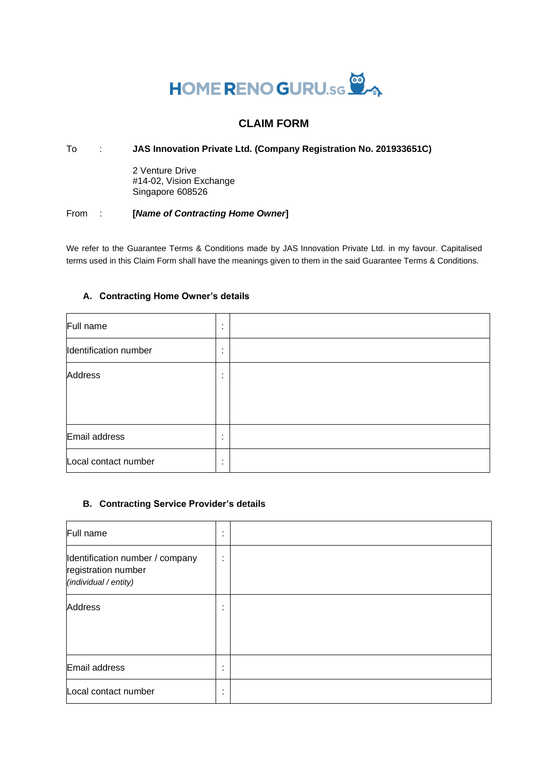# HOME RENO GURU.sc

# **CLAIM FORM**

## To : **JAS Innovation Private Ltd. (Company Registration No. 201933651C)**

2 Venture Drive #14-02, Vision Exchange Singapore 608526

#### From : **[***Name of Contracting Home Owner***]**

We refer to the Guarantee Terms & Conditions made by JAS Innovation Private Ltd. in my favour. Capitalised terms used in this Claim Form shall have the meanings given to them in the said Guarantee Terms & Conditions.

#### **A. Contracting Home Owner's details**

| Full name             | ٠<br>$\blacksquare$ |  |
|-----------------------|---------------------|--|
| Identification number | ٠<br>٠.             |  |
| <b>Address</b>        | ٠<br>٠              |  |
|                       |                     |  |
|                       |                     |  |
| Email address         | ٠<br>$\blacksquare$ |  |
| Local contact number  | ٠                   |  |

#### **B. Contracting Service Provider's details**

| Full name                                                                       | ٠<br>٠ |  |
|---------------------------------------------------------------------------------|--------|--|
| Identification number / company<br>registration number<br>(individual / entity) | ٠<br>٠ |  |
| Address                                                                         | ٠<br>٠ |  |
| Email address                                                                   | ٠<br>٠ |  |
| Local contact number                                                            | ٠<br>٠ |  |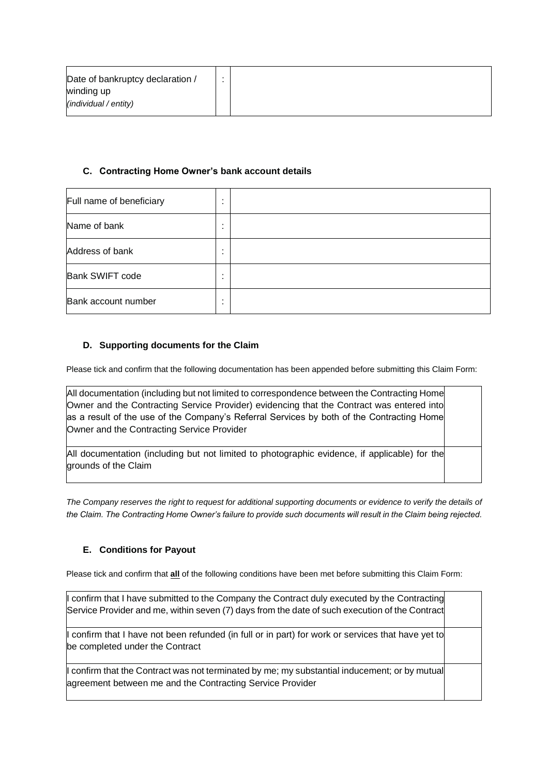| Date of bankruptcy declaration / |  |
|----------------------------------|--|
| winding up                       |  |
| (individual / entity)            |  |

#### **C. Contracting Home Owner's bank account details**

| Full name of beneficiary | $\blacksquare$<br>٠              |  |
|--------------------------|----------------------------------|--|
| Name of bank             | $\blacksquare$<br>$\blacksquare$ |  |
| Address of bank          | $\blacksquare$                   |  |
| <b>Bank SWIFT code</b>   | ٠<br>٠                           |  |
| Bank account number      | $\blacksquare$                   |  |

#### **D. Supporting documents for the Claim**

Please tick and confirm that the following documentation has been appended before submitting this Claim Form:

All documentation (including but not limited to correspondence between the Contracting Home Owner and the Contracting Service Provider) evidencing that the Contract was entered into as a result of the use of the Company's Referral Services by both of the Contracting Home Owner and the Contracting Service Provider

All documentation (including but not limited to photographic evidence, if applicable) for the grounds of the Claim

*The Company reserves the right to request for additional supporting documents or evidence to verify the details of the Claim. The Contracting Home Owner's failure to provide such documents will result in the Claim being rejected.* 

## **E. Conditions for Payout**

Please tick and confirm that **all** of the following conditions have been met before submitting this Claim Form:

I confirm that I have submitted to the Company the Contract duly executed by the Contracting Service Provider and me, within seven (7) days from the date of such execution of the Contract confirm that I have not been refunded (in full or in part) for work or services that have yet to be completed under the Contract confirm that the Contract was not terminated by me; my substantial inducement; or by mutual agreement between me and the Contracting Service Provider